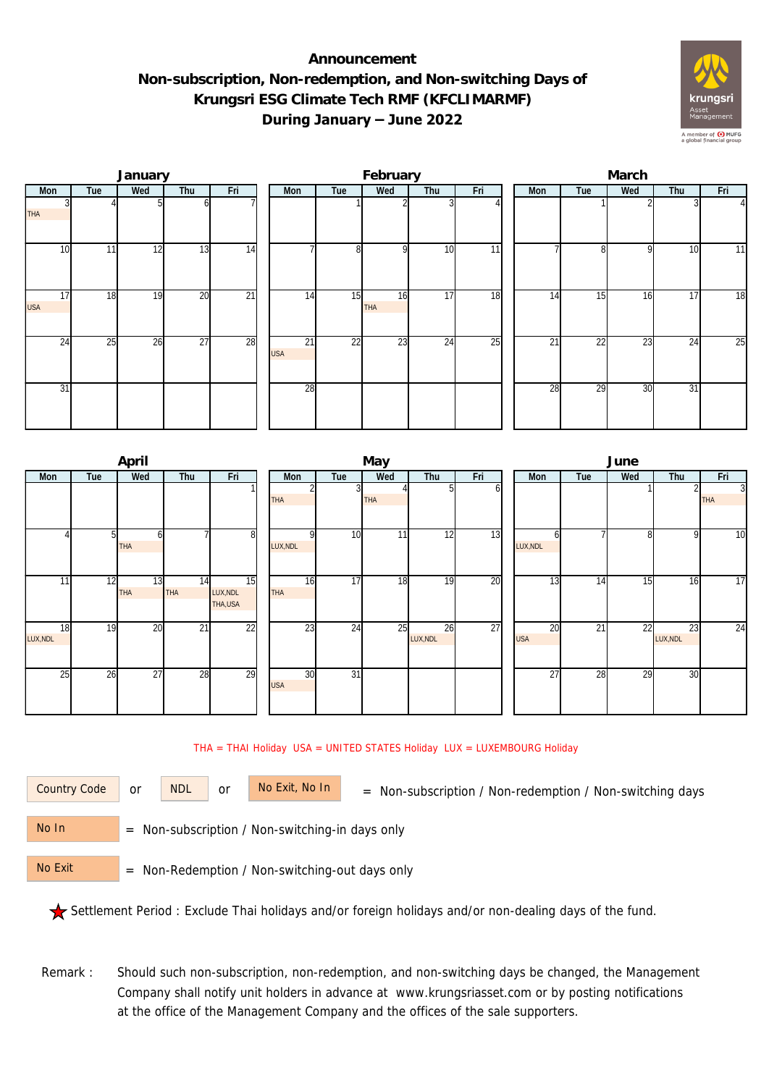## **Announcement Non-subscription, Non-redemption, and Non-switching Days of Krungsri ESG Climate Tech RMF (KFCLIMARMF) During January – June 2022**



|                  |     | January |                 |                 |                  |                 | February  |                 |                 | March |                 |     |     |                |  |  |
|------------------|-----|---------|-----------------|-----------------|------------------|-----------------|-----------|-----------------|-----------------|-------|-----------------|-----|-----|----------------|--|--|
| Mon              | Tue | Wed     | Thu             | Fri             | Mon              | Tue             | Wed       | Thu             | Fri             | Mon   | Tue             | Wed | Thu | Fri            |  |  |
| <b>THA</b>       |     |         | ωI              |                 |                  |                 |           |                 |                 |       |                 |     |     | $\overline{4}$ |  |  |
| 10               | 11  | 12      | 13              | 14              |                  | 8               | οI        | 10              | $\overline{11}$ |       | 81              | 9   | 10  | 11             |  |  |
| 17<br><b>USA</b> | 18  | 19      | 20              | $\overline{21}$ | 14               | 15              | 16<br>THA | 17              | 18              | 14    | 15              | 16  | 17  | 18             |  |  |
| $2\overline{4}$  | 25  | 26      | $\overline{27}$ | 28              | 21<br><b>USA</b> | $\overline{22}$ | 23        | $2\overline{4}$ | $\overline{25}$ | 21    | $2\overline{2}$ | 23  | 24  | 25             |  |  |
| 31               |     |         |                 |                 | 28               |                 |           |                 |                 | 28    | 29              | 30  | 31  |                |  |  |

|                |     | April            |            |                           |  |                  |                 | May        |                |     | June             |     |     |                |                 |  |  |
|----------------|-----|------------------|------------|---------------------------|--|------------------|-----------------|------------|----------------|-----|------------------|-----|-----|----------------|-----------------|--|--|
| Mon            | Tue | Wed              | Fri<br>Thu |                           |  |                  | Tue             | Wed        | Thu            | Fri | Mon              | Tue | Wed | Thu            | Fri             |  |  |
|                |     |                  |            |                           |  | THA              |                 | <b>THA</b> | 51             | οı  |                  |     |     |                | 3<br><b>THA</b> |  |  |
|                | 51  | h<br>THA         |            | 8                         |  | LUX, NDL         | 10              | 11         | 12             | 13  | h<br>LUX, NDL    |     | 8   | 9              | $\overline{10}$ |  |  |
| 11             | 12  | 13<br><b>THA</b> | 14<br>THA  | 15<br>LUX, NDL<br>THA,USA |  | 16<br>THA        | $\overline{17}$ | 18         | 19             | 20  | 13               | 14  | 15  | 16             | $\overline{17}$ |  |  |
| 18<br>LUX, NDL | 19  | 20               | 21         | 22                        |  | 23               | 24              | 25         | 26<br>LUX, NDL | 27  | 20<br><b>USA</b> | 21  | 22  | 23<br>LUX, NDL | 24              |  |  |
| 25             | 26  | 27               | 28         | 29                        |  | 30<br><b>USA</b> | $\overline{31}$ |            |                |     | 27               | 28  | 29  | 30             |                 |  |  |

## THA = THAI Holiday USA = UNITED STATES Holiday LUX = LUXEMBOURG Holiday

or NDL or

Country Code or NDL or No Exit, No In = Non-subscription / Non-redemption / Non-switching days

 = Non-subscription / Non-switching-in days only No In

 = Non-Redemption / Non-switching-out days only No Exit

Settlement Period : Exclude Thai holidays and/or foreign holidays and/or non-dealing days of the fund.

Remark : Should such non-subscription, non-redemption, and non-switching days be changed, the Management Company shall notify unit holders in advance at www.krungsriasset.com or by posting notifications at the office of the Management Company and the offices of the sale supporters.